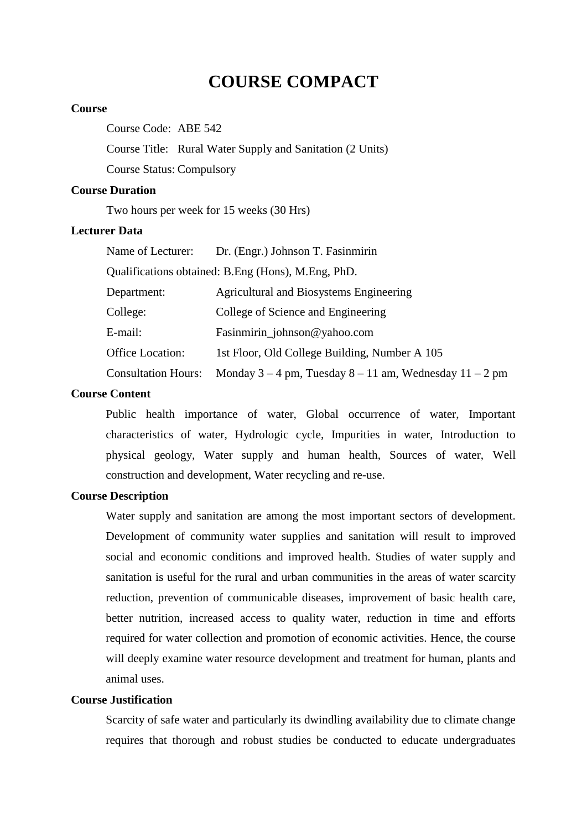# **COURSE COMPACT**

#### **Course**

Course Code: ABE 542

Course Title: Rural Water Supply and Sanitation (2 Units)

Course Status: Compulsory

# **Course Duration**

Two hours per week for 15 weeks (30 Hrs)

## **Lecturer Data**

| Name of Lecturer:                                  | Dr. (Engr.) Johnson T. Fasinmirin                             |  |
|----------------------------------------------------|---------------------------------------------------------------|--|
| Qualifications obtained: B.Eng (Hons), M.Eng, PhD. |                                                               |  |
| Department:                                        | <b>Agricultural and Biosystems Engineering</b>                |  |
| College:                                           | College of Science and Engineering                            |  |
| E-mail:                                            | Fasinmirin_johnson@yahoo.com                                  |  |
| Office Location:                                   | 1st Floor, Old College Building, Number A 105                 |  |
| <b>Consultation Hours:</b>                         | Monday $3 - 4$ pm, Tuesday $8 - 11$ am, Wednesday $11 - 2$ pm |  |

#### **Course Content**

Public health importance of water, Global occurrence of water, Important characteristics of water, Hydrologic cycle, Impurities in water, Introduction to physical geology, Water supply and human health, Sources of water, Well construction and development, Water recycling and re-use.

## **Course Description**

Water supply and sanitation are among the most important sectors of development. Development of community water supplies and sanitation will result to improved social and economic conditions and improved health. Studies of water supply and sanitation is useful for the rural and urban communities in the areas of water scarcity reduction, prevention of communicable diseases, improvement of basic health care, better nutrition, increased access to quality water, reduction in time and efforts required for water collection and promotion of economic activities. Hence, the course will deeply examine water resource development and treatment for human, plants and animal uses.

## **Course Justification**

Scarcity of safe water and particularly its dwindling availability due to climate change requires that thorough and robust studies be conducted to educate undergraduates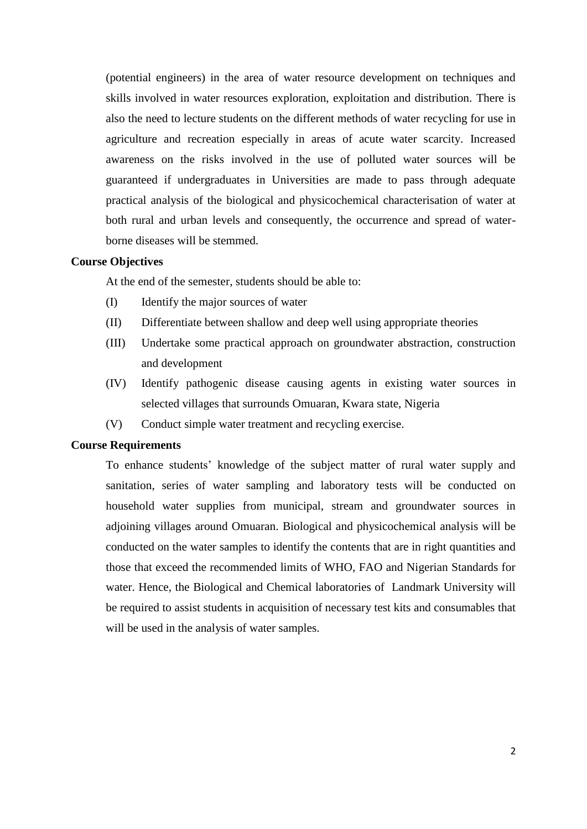(potential engineers) in the area of water resource development on techniques and skills involved in water resources exploration, exploitation and distribution. There is also the need to lecture students on the different methods of water recycling for use in agriculture and recreation especially in areas of acute water scarcity. Increased awareness on the risks involved in the use of polluted water sources will be guaranteed if undergraduates in Universities are made to pass through adequate practical analysis of the biological and physicochemical characterisation of water at both rural and urban levels and consequently, the occurrence and spread of waterborne diseases will be stemmed.

#### **Course Objectives**

At the end of the semester, students should be able to:

- (I) Identify the major sources of water
- (II) Differentiate between shallow and deep well using appropriate theories
- (III) Undertake some practical approach on groundwater abstraction, construction and development
- (IV) Identify pathogenic disease causing agents in existing water sources in selected villages that surrounds Omuaran, Kwara state, Nigeria
- (V) Conduct simple water treatment and recycling exercise.

#### **Course Requirements**

To enhance students' knowledge of the subject matter of rural water supply and sanitation, series of water sampling and laboratory tests will be conducted on household water supplies from municipal, stream and groundwater sources in adjoining villages around Omuaran. Biological and physicochemical analysis will be conducted on the water samples to identify the contents that are in right quantities and those that exceed the recommended limits of WHO, FAO and Nigerian Standards for water. Hence, the Biological and Chemical laboratories of Landmark University will be required to assist students in acquisition of necessary test kits and consumables that will be used in the analysis of water samples.